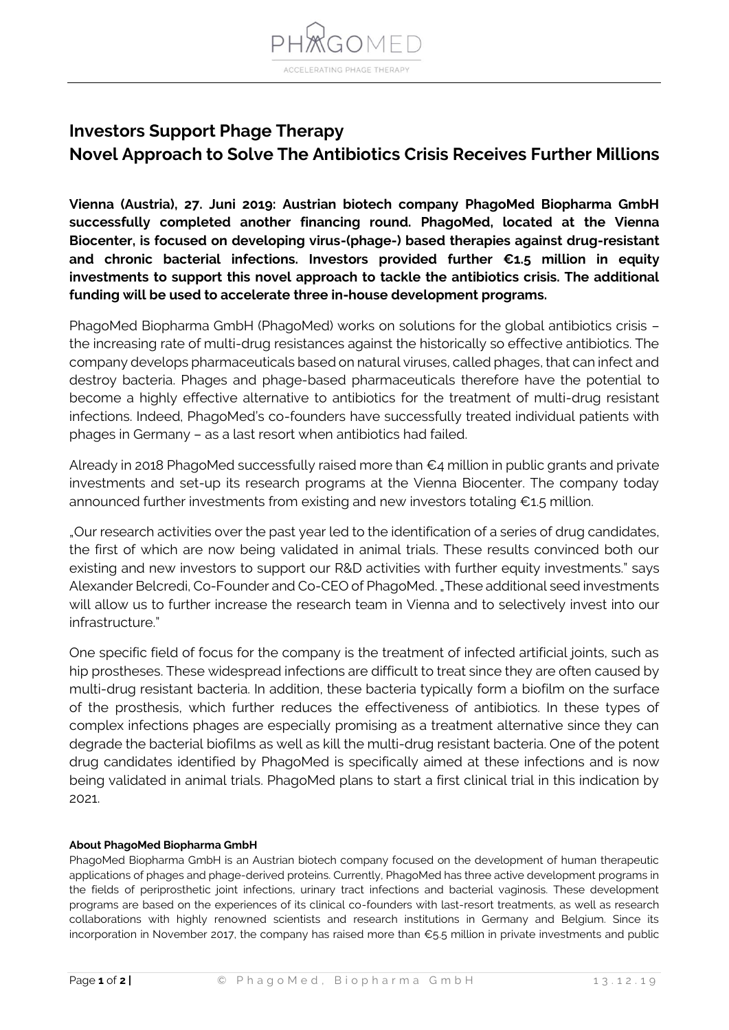

## **Investors Support Phage Therapy Novel Approach to Solve The Antibiotics Crisis Receives Further Millions**

**Vienna (Austria), 27. Juni 2019: Austrian biotech company PhagoMed Biopharma GmbH successfully completed another financing round. PhagoMed, located at the Vienna Biocenter, is focused on developing virus-(phage-) based therapies against drug-resistant and chronic bacterial infections. Investors provided further €1.5 million in equity investments to support this novel approach to tackle the antibiotics crisis. The additional funding will be used to accelerate three in-house development programs.**

PhagoMed Biopharma GmbH (PhagoMed) works on solutions for the global antibiotics crisis – the increasing rate of multi-drug resistances against the historically so effective antibiotics. The company develops pharmaceuticals based on natural viruses, called phages, that can infect and destroy bacteria. Phages and phage-based pharmaceuticals therefore have the potential to become a highly effective alternative to antibiotics for the treatment of multi-drug resistant infections. Indeed, PhagoMed's co-founders have successfully treated individual patients with phages in Germany – as a last resort when antibiotics had failed.

Already in 2018 PhagoMed successfully raised more than  $\epsilon_4$  million in public grants and private investments and set-up its research programs at the Vienna Biocenter. The company today announced further investments from existing and new investors totaling €1.5 million.

"Our research activities over the past year led to the identification of a series of drug candidates, the first of which are now being validated in animal trials. These results convinced both our existing and new investors to support our R&D activities with further equity investments." says Alexander Belcredi, Co-Founder and Co-CEO of PhagoMed. "These additional seed investments will allow us to further increase the research team in Vienna and to selectively invest into our infrastructure."

One specific field of focus for the company is the treatment of infected artificial joints, such as hip prostheses. These widespread infections are difficult to treat since they are often caused by multi-drug resistant bacteria. In addition, these bacteria typically form a biofilm on the surface of the prosthesis, which further reduces the effectiveness of antibiotics. In these types of complex infections phages are especially promising as a treatment alternative since they can degrade the bacterial biofilms as well as kill the multi-drug resistant bacteria. One of the potent drug candidates identified by PhagoMed is specifically aimed at these infections and is now being validated in animal trials. PhagoMed plans to start a first clinical trial in this indication by 2021.

## **About PhagoMed Biopharma GmbH**

PhagoMed Biopharma GmbH is an Austrian biotech company focused on the development of human therapeutic applications of phages and phage-derived proteins. Currently, PhagoMed has three active development programs in the fields of periprosthetic joint infections, urinary tract infections and bacterial vaginosis. These development programs are based on the experiences of its clinical co-founders with last-resort treatments, as well as research collaborations with highly renowned scientists and research institutions in Germany and Belgium. Since its incorporation in November 2017, the company has raised more than €5.5 million in private investments and public